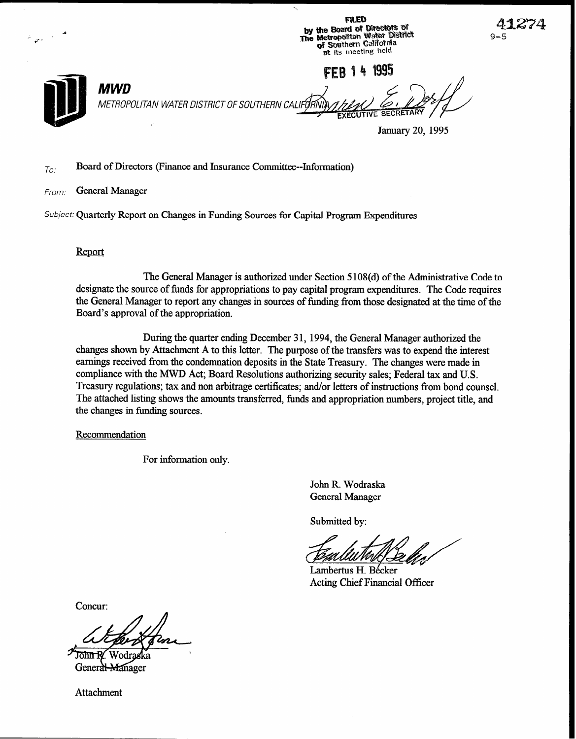by the Board of Directors of<br>The Metropolitan Water District<br>The Metropolitan Water District<br>of Southern California  $\gamma_{\rm max}$ at its meeting held FFB 14 1995 MWD METROPOLITAN WATER DISTRICT OF SOUTHERN CA January 20, 1995

 $\ddot{\phantom{1}}$ 

**FILED** 

9–!

## $T_{0}$ : Board of Directors (Finance and Insurance Committee--Information)

From: General Manager

Subject: Quarterly Report on Changes in Funding Sources for Capital Program Expenditures

### Report

The General Manager is authorized under Section 5 108(d) of the Administrative Code to designate the source of funds for appropriations to pay capital program expenditures. The Code requires the General Manager to report any changes in sources of funding from those designated at the time of the Board's approval of the appropriation.

During the quarter ending December 31, 1994, the General Manager authorized the changes shown by Attachment A to this letter. The purpose of the transfers was to expend the interest earnings received from the condemnation deposits in the State Treasury. The changes were made in compliance with the MWD Act; Board Resolutions authorizing security sales; Federal tax and U.S. Treasury regulations; tax and non arbitrage certificates; and/or letters of instructions from bond counsel. The attached listing shows the amounts transferred, funds and appropriation numbers, project title, and the changes in funding sources.

#### Recommendation

For information only.

John R. Wodraska General Manager

Submitted by:

Lambertus H. Bécker Acting Chief Financial Officer

Concur:

ħ٣ General Manager

Attachment